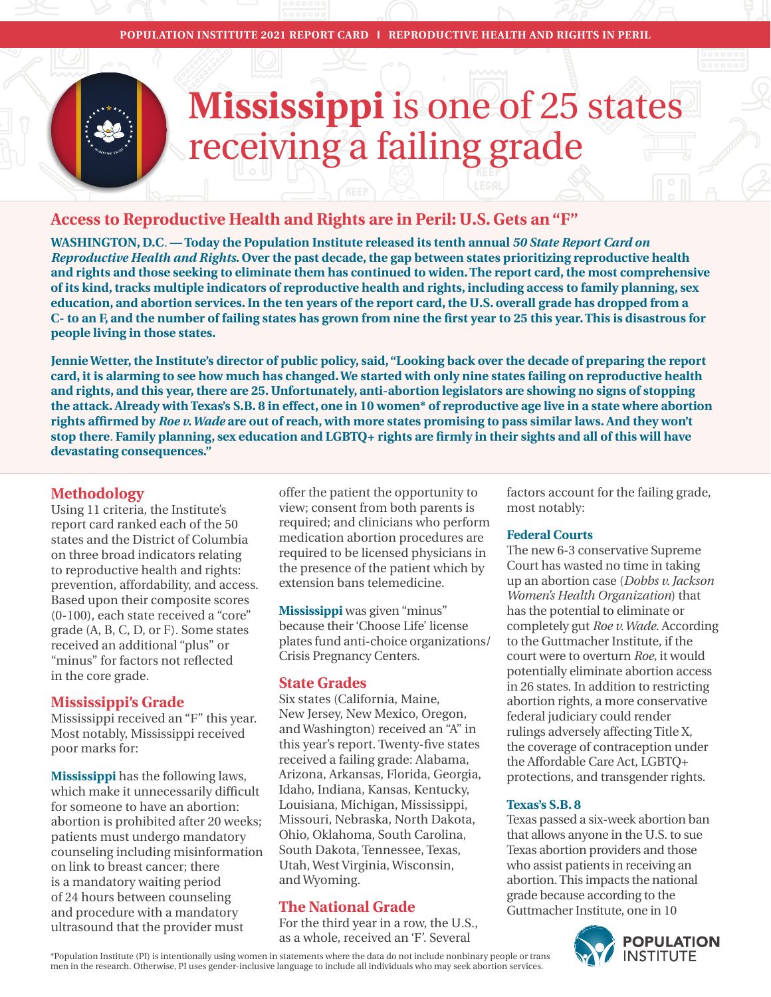# **Mississippi** is one of 25 states receiving a failing grade

# **Access to Reproductive Health and Rights are in Peril: U.S. Gets an "F"**

**WASHINGTON, D.C***.* **— Today the Population Institute released its tenth annual** *50 State Report Card on Reproductive Health and Rights***. Over the past decade, the gap between states prioritizing reproductive health and rights and those seeking to eliminate them has continued to widen. The report card, the most comprehensive of its kind, tracks multiple indicators of reproductive health and rights, including access to family planning, sex education, and abortion services. In the ten years of the report card, the U.S. overall grade has dropped from a**  C- to an F, and the number of failing states has grown from nine the first year to 25 this year. This is disastrous for **people living in those states.** 

**Jennie Wetter, the Institute's director of public policy, said, "Looking back over the decade of preparing the report card, it is alarming to see how much has changed. We started with only nine states failing on reproductive health and rights, and this year, there are 25. Unfortunately, anti-abortion legislators are showing no signs of stopping the attack. Already with Texas's S.B. 8 in effect, one in 10 women\* of reproductive age live in a state where abortion**  rights affirmed by *Roe v. Wade* are out of reach, with more states promising to pass similar laws. And they won't stop there. Family planning, sex education and LGBTQ+ rights are firmly in their sights and all of this will have **devastating consequences."** 

# **Methodology**

Using 11 criteria, the Institute's report card ranked each of the 50 states and the District of Columbia on three broad indicators relating to reproductive health and rights: prevention, affordability, and access. Based upon their composite scores (0-100), each state received a "core" grade (A, B, C, D, or F). Some states received an additional "plus" or "minus" for factors not reflected in the core grade*.* 

# **Mississippi's Grade**

Mississippi received an "F" this year. Most notably, Mississippi received poor marks for:

**Mississippi** has the following laws, which make it unnecessarily difficult for someone to have an abortion: abortion is prohibited after 20 weeks; patients must undergo mandatory counseling including misinformation on link to breast cancer; there is a mandatory waiting period of 24 hours between counseling and procedure with a mandatory ultrasound that the provider must

offer the patient the opportunity to view; consent from both parents is required; and clinicians who perform medication abortion procedures are required to be licensed physicians in the presence of the patient which by extension bans telemedicine.

**Mississippi** was given "minus" because their 'Choose Life' license plates fund anti-choice organizations/ Crisis Pregnancy Centers.

# **State Grades**

Six states (California, Maine, New Jersey, New Mexico, Oregon, and Washington) received an "A" in this year's report. Twenty-five states received a failing grade: Alabama, Arizona, Arkansas, Florida, Georgia, Idaho, Indiana, Kansas, Kentucky, Louisiana, Michigan, Mississippi, Missouri, Nebraska, North Dakota, Ohio, Oklahoma, South Carolina, South Dakota, Tennessee, Texas, Utah, West Virginia, Wisconsin, and Wyoming.

# **The National Grade**

For the third year in a row, the U.S., as a whole, received an 'F'. Several

factors account for the failing grade, most notably:

#### **Federal Courts**

The new 6-3 conservative Supreme Court has wasted no time in taking up an abortion case (*Dobbs v. Jackson Women's Health Organization*) that has the potential to eliminate or completely gut *Roe v. Wade*. According to the Guttmacher Institute, if the court were to overturn *Roe,* it would potentially eliminate abortion access in 26 states. In addition to restricting abortion rights, a more conservative federal judiciary could render rulings adversely affecting Title X, the coverage of contraception under the Affordable Care Act, LGBTQ+ protections, and transgender rights.

#### **Texas's S.B. 8**

Texas passed a six-week abortion ban that allows anyone in the U.S. to sue Texas abortion providers and those who assist patients in receiving an abortion. This impacts the national grade because according to the Guttmacher Institute, one in 10



\*Population Institute (PI) is intentionally using women in statements where the data do not include nonbinary people or trans men in the research. Otherwise, PI uses gender-inclusive language to include all individuals who may seek abortion services.